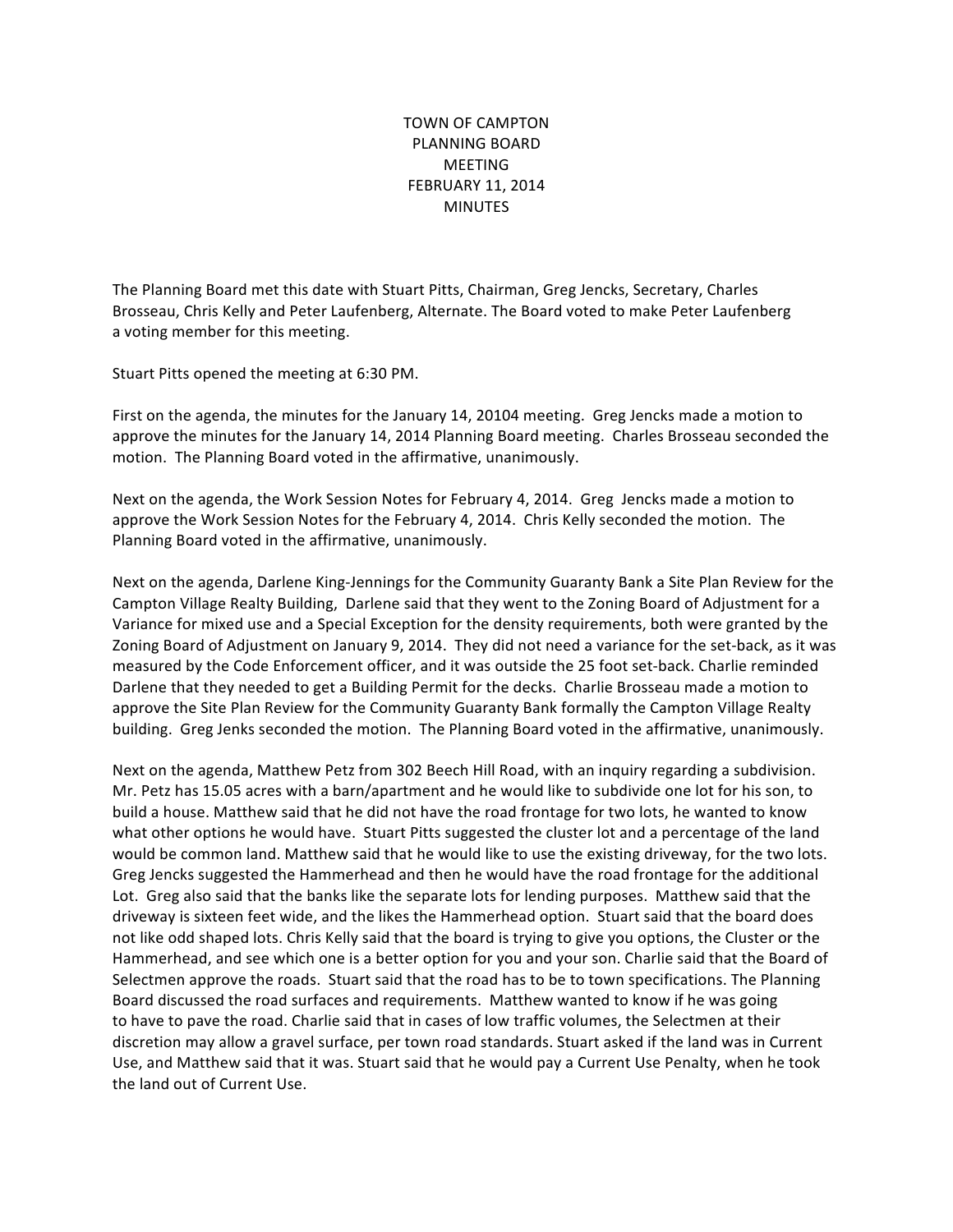TOWN OF CAMPTON PLANNING BOARD MEETING **FEBRUARY 11, 2014 MINUTES** 

The Planning Board met this date with Stuart Pitts, Chairman, Greg Jencks, Secretary, Charles Brosseau, Chris Kelly and Peter Laufenberg, Alternate. The Board voted to make Peter Laufenberg a voting member for this meeting.

Stuart Pitts opened the meeting at 6:30 PM.

First on the agenda, the minutes for the January 14, 20104 meeting. Greg Jencks made a motion to approve the minutes for the January 14, 2014 Planning Board meeting. Charles Brosseau seconded the motion. The Planning Board voted in the affirmative, unanimously.

Next on the agenda, the Work Session Notes for February 4, 2014. Greg Jencks made a motion to approve the Work Session Notes for the February 4, 2014. Chris Kelly seconded the motion. The Planning Board voted in the affirmative, unanimously.

Next on the agenda, Darlene King-Jennings for the Community Guaranty Bank a Site Plan Review for the Campton Village Realty Building, Darlene said that they went to the Zoning Board of Adjustment for a Variance for mixed use and a Special Exception for the density requirements, both were granted by the Zoning Board of Adjustment on January 9, 2014. They did not need a variance for the set-back, as it was measured by the Code Enforcement officer, and it was outside the 25 foot set-back. Charlie reminded Darlene that they needed to get a Building Permit for the decks. Charlie Brosseau made a motion to approve the Site Plan Review for the Community Guaranty Bank formally the Campton Village Realty building. Greg Jenks seconded the motion. The Planning Board voted in the affirmative, unanimously.

Next on the agenda, Matthew Petz from 302 Beech Hill Road, with an inquiry regarding a subdivision. Mr. Petz has 15.05 acres with a barn/apartment and he would like to subdivide one lot for his son, to build a house. Matthew said that he did not have the road frontage for two lots, he wanted to know what other options he would have. Stuart Pitts suggested the cluster lot and a percentage of the land would be common land. Matthew said that he would like to use the existing driveway, for the two lots. Greg Jencks suggested the Hammerhead and then he would have the road frontage for the additional Lot. Greg also said that the banks like the separate lots for lending purposes. Matthew said that the driveway is sixteen feet wide, and the likes the Hammerhead option. Stuart said that the board does not like odd shaped lots. Chris Kelly said that the board is trying to give you options, the Cluster or the Hammerhead, and see which one is a better option for you and your son. Charlie said that the Board of Selectmen approve the roads. Stuart said that the road has to be to town specifications. The Planning Board discussed the road surfaces and requirements. Matthew wanted to know if he was going to have to pave the road. Charlie said that in cases of low traffic volumes, the Selectmen at their discretion may allow a gravel surface, per town road standards. Stuart asked if the land was in Current Use, and Matthew said that it was. Stuart said that he would pay a Current Use Penalty, when he took the land out of Current Use.